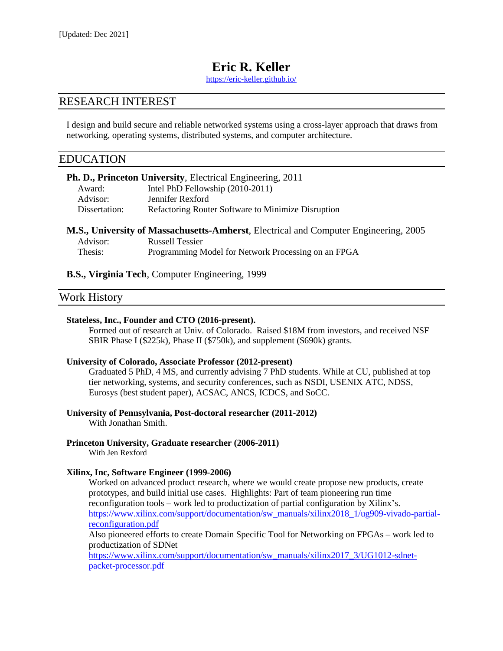# **Eric R. Keller**

<https://eric-keller.github.io/>

# RESEARCH INTEREST

I design and build secure and reliable networked systems using a cross-layer approach that draws from networking, operating systems, distributed systems, and computer architecture.

# EDUCATION

|               | <b>Ph. D., Princeton University, Electrical Engineering, 2011</b> |
|---------------|-------------------------------------------------------------------|
| Award:        | Intel PhD Fellowship $(2010-2011)$                                |
| Advisor:      | Jennifer Rexford                                                  |
| Dissertation: | Refactoring Router Software to Minimize Disruption                |

# **M.S., University of Massachusetts-Amherst**, Electrical and Computer Engineering, 2005 Advisor: Russell Tessier

Thesis: Programming Model for Network Processing on an FPGA

# **B.S., Virginia Tech**, Computer Engineering, 1999

# Work History

# **Stateless, Inc., Founder and CTO (2016-present).**

Formed out of research at Univ. of Colorado. Raised \$18M from investors, and received NSF SBIR Phase I (\$225k), Phase II (\$750k), and supplement (\$690k) grants.

# **University of Colorado, Associate Professor (2012-present)**

Graduated 5 PhD, 4 MS, and currently advising 7 PhD students. While at CU, published at top tier networking, systems, and security conferences, such as NSDI, USENIX ATC, NDSS, Eurosys (best student paper), ACSAC, ANCS, ICDCS, and SoCC.

## **University of Pennsylvania, Post-doctoral researcher (2011-2012)** With Jonathan Smith.

# **Princeton University, Graduate researcher (2006-2011)**

With Jen Rexford

# **Xilinx, Inc, Software Engineer (1999-2006)**

Worked on advanced product research, where we would create propose new products, create prototypes, and build initial use cases. Highlights: Part of team pioneering run time reconfiguration tools – work led to productization of partial configuration by Xilinx's. [https://www.xilinx.com/support/documentation/sw\\_manuals/xilinx2018\\_1/ug909-vivado-partial](https://www.xilinx.com/support/documentation/sw_manuals/xilinx2018_1/ug909-vivado-partial-reconfiguration.pdf)[reconfiguration.pdf](https://www.xilinx.com/support/documentation/sw_manuals/xilinx2018_1/ug909-vivado-partial-reconfiguration.pdf) Also pioneered efforts to create Domain Specific Tool for Networking on FPGAs – work led to

productization of SDNet

[https://www.xilinx.com/support/documentation/sw\\_manuals/xilinx2017\\_3/UG1012-sdnet](https://www.xilinx.com/support/documentation/sw_manuals/xilinx2017_3/UG1012-sdnet-packet-processor.pdf)[packet-processor.pdf](https://www.xilinx.com/support/documentation/sw_manuals/xilinx2017_3/UG1012-sdnet-packet-processor.pdf)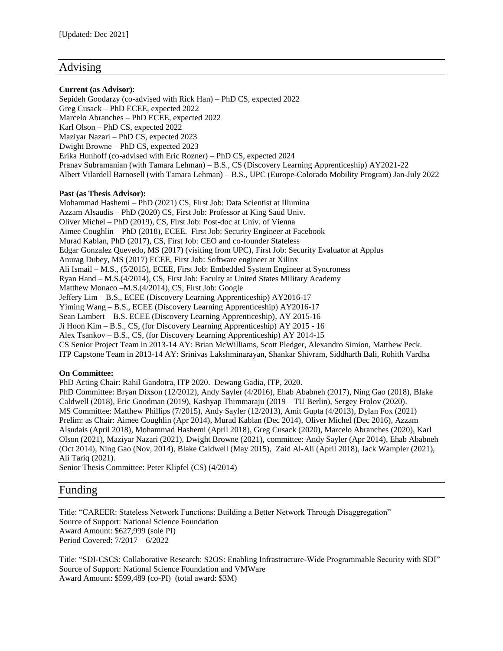# Advising

# **Current (as Advisor)**:

Sepideh Goodarzy (co-advised with Rick Han) – PhD CS, expected 2022 Greg Cusack – PhD ECEE, expected 2022 Marcelo Abranches – PhD ECEE, expected 2022 Karl Olson – PhD CS, expected 2022 Maziyar Nazari – PhD CS, expected 2023 Dwight Browne – PhD CS, expected 2023 Erika Hunhoff (co-advised with Eric Rozner) – PhD CS, expected 2024 Pranav Subramanian (with Tamara Lehman) – B.S., CS (Discovery Learning Apprenticeship) AY2021-22 Albert Vilardell Barnosell (with Tamara Lehman) – B.S., UPC (Europe-Colorado Mobility Program) Jan-July 2022

# **Past (as Thesis Advisor):**

Mohammad Hashemi – PhD (2021) CS, First Job: Data Scientist at Illumina Azzam Alsaudis – PhD (2020) CS, First Job: Professor at King Saud Univ. Oliver Michel – PhD (2019), CS, First Job: Post-doc at Univ. of Vienna Aimee Coughlin – PhD (2018), ECEE. First Job: Security Engineer at Facebook Murad Kablan, PhD (2017), CS, First Job: CEO and co-founder Stateless Edgar Gonzalez Quevedo, MS (2017) (visiting from UPC), First Job: Security Evaluator at Applus Anurag Dubey, MS (2017) ECEE, First Job: Software engineer at Xilinx Ali Ismail – M.S., (5/2015), ECEE, First Job: Embedded System Engineer at Syncroness Ryan Hand – M.S.(4/2014), CS, First Job: Faculty at United States Military Academy Matthew Monaco –M.S.(4/2014), CS, First Job: Google Jeffery Lim – B.S., ECEE (Discovery Learning Apprenticeship) AY2016-17 Yiming Wang – B.S., ECEE (Discovery Learning Apprenticeship) AY2016-17 Sean Lambert – B.S. ECEE (Discovery Learning Apprenticeship), AY 2015-16 Ji Hoon Kim – B.S., CS, (for Discovery Learning Apprenticeship) AY 2015 - 16 Alex Tsankov – B.S., CS, (for Discovery Learning Apprenticeship) AY 2014-15 CS Senior Project Team in 2013-14 AY: Brian McWilliams, Scott Pledger, Alexandro Simion, Matthew Peck. ITP Capstone Team in 2013-14 AY: Srinivas Lakshminarayan, Shankar Shivram, Siddharth Bali, Rohith Vardha

# **On Committee:**

PhD Acting Chair: Rahil Gandotra, ITP 2020. Dewang Gadia, ITP, 2020.

PhD Committee: Bryan Dixson (12/2012), Andy Sayler (4/2016), Ehab Ababneh (2017), Ning Gao (2018), Blake Caldwell (2018), Eric Goodman (2019), Kashyap Thimmaraju (2019 – TU Berlin), Sergey Frolov (2020). MS Committee: Matthew Phillips (7/2015), Andy Sayler (12/2013), Amit Gupta (4/2013), Dylan Fox (2021) Prelim: as Chair: Aimee Coughlin (Apr 2014), Murad Kablan (Dec 2014), Oliver Michel (Dec 2016), Azzam Alsudais (April 2018), Mohammad Hashemi (April 2018), Greg Cusack (2020), Marcelo Abranches (2020), Karl Olson (2021), Maziyar Nazari (2021), Dwight Browne (2021), committee: Andy Sayler (Apr 2014), Ehab Ababneh (Oct 2014), Ning Gao (Nov, 2014), Blake Caldwell (May 2015), Zaid Al-Ali (April 2018), Jack Wampler (2021), Ali Tariq (2021).

Senior Thesis Committee: Peter Klipfel (CS) (4/2014)

# Funding

Title: "CAREER: Stateless Network Functions: Building a Better Network Through Disaggregation" Source of Support: National Science Foundation Award Amount: \$627,999 (sole PI) Period Covered: 7/2017 – 6/2022

Title: "SDI-CSCS: Collaborative Research: S2OS: Enabling Infrastructure-Wide Programmable Security with SDI" Source of Support: National Science Foundation and VMWare Award Amount: \$599,489 (co-PI) (total award: \$3M)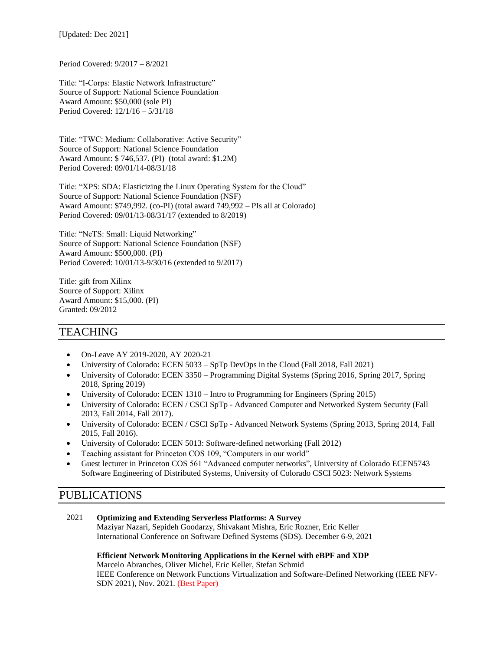[Updated: Dec 2021]

Period Covered: 9/2017 – 8/2021

Title: "I-Corps: Elastic Network Infrastructure" Source of Support: National Science Foundation Award Amount: \$50,000 (sole PI) Period Covered: 12/1/16 – 5/31/18

Title: "TWC: Medium: Collaborative: Active Security" Source of Support: National Science Foundation Award Amount: \$ 746,537. (PI) (total award: \$1.2M) Period Covered: 09/01/14-08/31/18

Title: "XPS: SDA: Elasticizing the Linux Operating System for the Cloud" Source of Support: National Science Foundation (NSF) Award Amount: \$749,992. (co-PI) (total award 749,992 – PIs all at Colorado) Period Covered: 09/01/13-08/31/17 (extended to 8/2019)

Title: "NeTS: Small: Liquid Networking" Source of Support: National Science Foundation (NSF) Award Amount: \$500,000. (PI) Period Covered: 10/01/13-9/30/16 (extended to 9/2017)

Title: gift from Xilinx Source of Support: Xilinx Award Amount: \$15,000. (PI) Granted: 09/2012

# TEACHING

- On-Leave AY 2019-2020, AY 2020-21
- University of Colorado: ECEN 5033 SpTp DevOps in the Cloud (Fall 2018, Fall 2021)
- University of Colorado: ECEN 3350 Programming Digital Systems (Spring 2016, Spring 2017, Spring 2018, Spring 2019)
- University of Colorado: ECEN 1310 Intro to Programming for Engineers (Spring 2015)
- University of Colorado: ECEN / CSCI SpTp Advanced Computer and Networked System Security (Fall 2013, Fall 2014, Fall 2017).
- University of Colorado: ECEN / CSCI SpTp Advanced Network Systems (Spring 2013, Spring 2014, Fall 2015, Fall 2016).
- University of Colorado: ECEN 5013: Software-defined networking (Fall 2012)
- Teaching assistant for Princeton COS 109, "Computers in our world"
- Guest lecturer in Princeton COS 561 "Advanced computer networks", University of Colorado ECEN5743 Software Engineering of Distributed Systems, University of Colorado CSCI 5023: Network Systems

# PUBLICATIONS

| 2021 | <b>Optimizing and Extending Serverless Platforms: A Survey</b>                                                                                                 |  |
|------|----------------------------------------------------------------------------------------------------------------------------------------------------------------|--|
|      | Maziyar Nazari, Sepideh Goodarzy, Shivakant Mishra, Eric Rozner, Eric Keller<br>International Conference on Software Defined Systems (SDS). December 6-9, 2021 |  |
|      | <b>Efficient Network Monitoring Applications in the Kernel with eBPF and XDP</b>                                                                               |  |

Marcelo Abranches, Oliver Michel, Eric Keller, Stefan Schmid IEEE Conference on Network Functions Virtualization and Software-Defined Networking (IEEE NFV-SDN 2021), Nov. 2021. (Best Paper)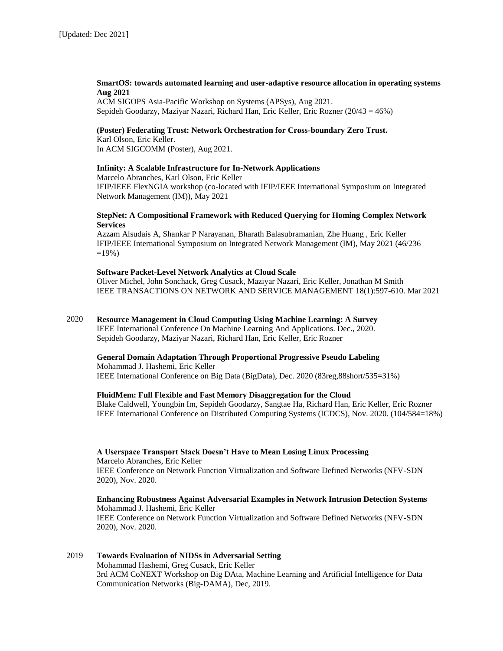# **SmartOS: towards automated learning and user-adaptive resource allocation in operating systems Aug 2021**

ACM SIGOPS Asia-Pacific Workshop on Systems (APSys), Aug 2021. Sepideh Goodarzy, Maziyar Nazari, Richard Han, Eric Keller, Eric Rozner (20/43 = 46%)

# **(Poster) Federating Trust: Network Orchestration for Cross-boundary Zero Trust.**

Karl Olson, Eric Keller. In ACM SIGCOMM (Poster), Aug 2021.

# **Infinity: A Scalable Infrastructure for In-Network Applications**

Marcelo Abranches, Karl Olson, Eric Keller IFIP/IEEE FlexNGIA workshop (co-located with IFIP/IEEE International Symposium on Integrated Network Management (IM)), May 2021

## **StepNet: A Compositional Framework with Reduced Querying for Homing Complex Network Services**

Azzam Alsudais A, Shankar P Narayanan, Bharath Balasubramanian, Zhe Huang , Eric Keller IFIP/IEEE International Symposium on Integrated Network Management (IM), May 2021 (46/236  $=19%$ )

# **Software Packet-Level Network Analytics at Cloud Scale**

Oliver Michel, John Sonchack, Greg Cusack, Maziyar Nazari, Eric Keller, Jonathan M Smith IEEE TRANSACTIONS ON NETWORK AND SERVICE MANAGEMENT 18(1):597-610. Mar 2021

#### 2020 **Resource Management in Cloud Computing Using Machine Learning: A Survey**

IEEE International Conference On Machine Learning And Applications. Dec., 2020. Sepideh Goodarzy, Maziyar Nazari, Richard Han, Eric Keller, Eric Rozner

# **General Domain Adaptation Through Proportional Progressive Pseudo Labeling**

Mohammad J. Hashemi, Eric Keller IEEE International Conference on Big Data (BigData), Dec. 2020 (83reg,88short/535=31%)

## **FluidMem: Full Flexible and Fast Memory Disaggregation for the Cloud**

Blake Caldwell, Youngbin Im, Sepideh Goodarzy, Sangtae Ha, Richard Han, Eric Keller, Eric Rozner IEEE International Conference on Distributed Computing Systems (ICDCS), Nov. 2020. (104/584=18%)

# **A Userspace Transport Stack Doesn't Have to Mean Losing Linux Processing**

Marcelo Abranches, Eric Keller IEEE Conference on Network Function Virtualization and Software Defined Networks (NFV-SDN 2020), Nov. 2020.

**Enhancing Robustness Against Adversarial Examples in Network Intrusion Detection Systems** Mohammad J. Hashemi, Eric Keller IEEE Conference on Network Function Virtualization and Software Defined Networks (NFV-SDN 2020), Nov. 2020.

#### 2019 **Towards Evaluation of NIDSs in Adversarial Setting** Mohammad Hashemi, Greg Cusack, Eric Keller 3rd ACM CoNEXT Workshop on Big DAta, Machine Learning and Artificial Intelligence for Data Communication Networks (Big-DAMA), Dec, 2019.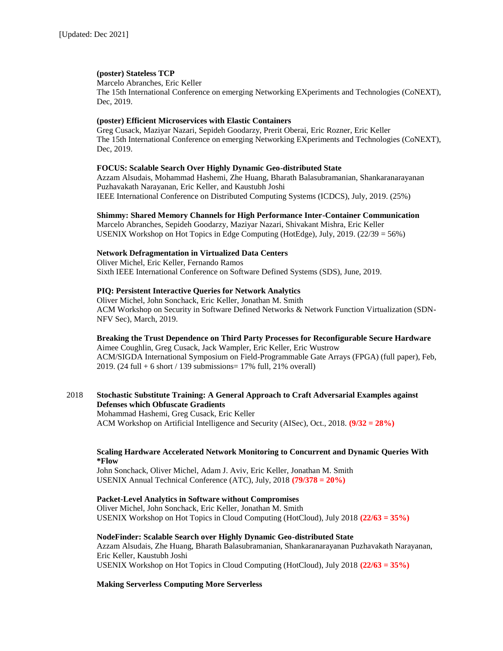### **(poster) Stateless TCP**

Marcelo Abranches, Eric Keller The 15th International Conference on emerging Networking EXperiments and Technologies (CoNEXT), Dec, 2019.

## **(poster) Efficient Microservices with Elastic Containers**

Greg Cusack, Maziyar Nazari, Sepideh Goodarzy, Prerit Oberai, Eric Rozner, Eric Keller The 15th International Conference on emerging Networking EXperiments and Technologies (CoNEXT), Dec, 2019.

# **FOCUS: Scalable Search Over Highly Dynamic Geo-distributed State**

Azzam Alsudais, Mohammad Hashemi, Zhe Huang, Bharath Balasubramanian, Shankaranarayanan Puzhavakath Narayanan, Eric Keller, and Kaustubh Joshi IEEE International Conference on Distributed Computing Systems (ICDCS), July, 2019. (25%)

# **Shimmy: Shared Memory Channels for High Performance Inter-Container Communication**

Marcelo Abranches, Sepideh Goodarzy, Maziyar Nazari, Shivakant Mishra, Eric Keller USENIX Workshop on Hot Topics in Edge Computing (HotEdge), July, 2019. (22/39 = 56%)

# **Network Defragmentation in Virtualized Data Centers**

Oliver Michel, Eric Keller, Fernando Ramos Sixth IEEE International Conference on Software Defined Systems (SDS), June, 2019.

# **PIQ: Persistent Interactive Queries for Network Analytics**

Oliver Michel, John Sonchack, Eric Keller, Jonathan M. Smith ACM Workshop on Security in Software Defined Networks & Network Function Virtualization (SDN-NFV Sec), March, 2019.

# **Breaking the Trust Dependence on Third Party Processes for Reconfigurable Secure Hardware**

Aimee Coughlin, Greg Cusack, Jack Wampler, Eric Keller, Eric Wustrow ACM/SIGDA International Symposium on Field-Programmable Gate Arrays (FPGA) (full paper), Feb, 2019. (24 full + 6 short / 139 submissions= 17% full, 21% overall)

#### 2018 **Stochastic Substitute Training: A General Approach to Craft Adversarial Examples against Defenses which Obfuscate Gradients**

Mohammad Hashemi, Greg Cusack, Eric Keller ACM Workshop on Artificial Intelligence and Security (AISec), Oct., 2018. **(9/32 = 28%)**

## **Scaling Hardware Accelerated Network Monitoring to Concurrent and Dynamic Queries With \*Flow**

John Sonchack, Oliver Michel, Adam J. Aviv, Eric Keller, Jonathan M. Smith USENIX Annual Technical Conference (ATC), July, 2018 **(79/378 = 20%)**

# **Packet-Level Analytics in Software without Compromises**

Oliver Michel, John Sonchack, Eric Keller, Jonathan M. Smith USENIX Workshop on Hot Topics in Cloud Computing (HotCloud), July 2018 **(22/63 = 35%)**

# **NodeFinder: Scalable Search over Highly Dynamic Geo-distributed State**

Azzam Alsudais, Zhe Huang, Bharath Balasubramanian, Shankaranarayanan Puzhavakath Narayanan, Eric Keller, Kaustubh Joshi USENIX Workshop on Hot Topics in Cloud Computing (HotCloud), July 2018 **(22/63 = 35%)**

## **Making Serverless Computing More Serverless**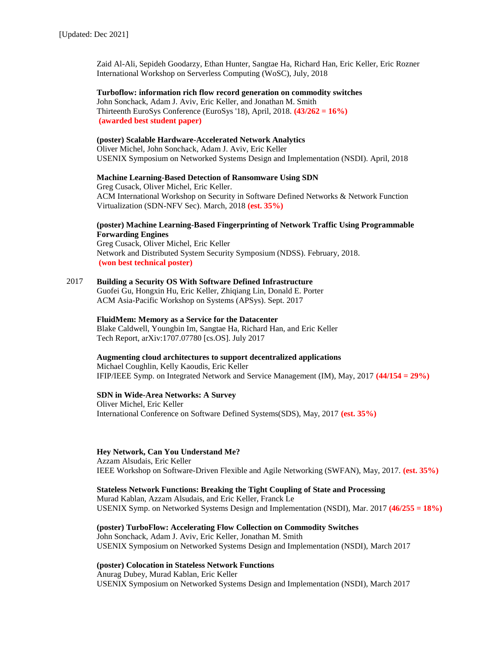Zaid Al-Ali, Sepideh Goodarzy, Ethan Hunter, Sangtae Ha, Richard Han, Eric Keller, Eric Rozner International Workshop on Serverless Computing (WoSC), July, 2018

#### **Turboflow: information rich flow record generation on commodity switches**

John Sonchack, Adam J. Aviv, Eric Keller, and Jonathan M. Smith Thirteenth EuroSys Conference (EuroSys '18), April, 2018. **(43/262 = 16%) (awarded best student paper)**

# **(poster) Scalable Hardware-Accelerated Network Analytics**

Oliver Michel, John Sonchack, Adam J. Aviv, Eric Keller USENIX Symposium on Networked Systems Design and Implementation (NSDI). April, 2018

## **Machine Learning-Based Detection of Ransomware Using SDN**

Greg Cusack, Oliver Michel, Eric Keller. ACM International Workshop on Security in Software Defined Networks & Network Function Virtualization (SDN-NFV Sec). March, 2018 **(est. 35%)**

# **(poster) Machine Learning-Based Fingerprinting of Network Traffic Using Programmable Forwarding Engines**

Greg Cusack, Oliver Michel, Eric Keller Network and Distributed System Security Symposium (NDSS). February, 2018. **(won best technical poster)**

#### 2017 **Building a Security OS With Software Defined Infrastructure**

Guofei Gu, Hongxin Hu, Eric Keller, Zhiqiang Lin, Donald E. Porter ACM Asia-Pacific Workshop on Systems (APSys). Sept. 2017

#### **FluidMem: Memory as a Service for the Datacenter**

Blake Caldwell, Youngbin Im, Sangtae Ha, Richard Han, and Eric Keller Tech Report, arXiv:1707.07780 [cs.OS]. July 2017

## **Augmenting cloud architectures to support decentralized applications**

Michael Coughlin, Kelly Kaoudis, Eric Keller IFIP/IEEE Symp. on Integrated Network and Service Management (IM), May, 2017 **(44/154 = 29%)**

## **SDN in Wide-Area Networks: A Survey**

Oliver Michel, Eric Keller International Conference on Software Defined Systems(SDS), May, 2017 **(est. 35%)**

# **Hey Network, Can You Understand Me?**

Azzam Alsudais, Eric Keller IEEE Workshop on Software-Driven Flexible and Agile Networking (SWFAN), May, 2017. **(est. 35%)**

# **Stateless Network Functions: Breaking the Tight Coupling of State and Processing**

Murad Kablan, Azzam Alsudais, and Eric Keller, Franck Le USENIX Symp. on Networked Systems Design and Implementation (NSDI), Mar. 2017 **(46/255 = 18%)**

## **(poster) TurboFlow: Accelerating Flow Collection on Commodity Switches**

John Sonchack, Adam J. Aviv, Eric Keller, Jonathan M. Smith USENIX Symposium on Networked Systems Design and Implementation (NSDI), March 2017

# **(poster) Colocation in Stateless Network Functions**

Anurag Dubey, Murad Kablan, Eric Keller USENIX Symposium on Networked Systems Design and Implementation (NSDI), March 2017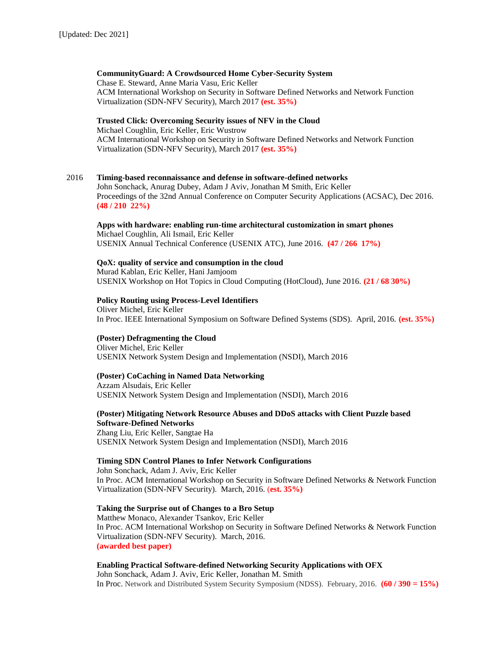## **CommunityGuard: A Crowdsourced Home Cyber-Security System**

Chase E. Steward, Anne Maria Vasu, Eric Keller ACM International Workshop on Security in Software Defined Networks and Network Function Virtualization (SDN-NFV Security), March 2017 **(est. 35%)**

#### **Trusted Click: Overcoming Security issues of NFV in the Cloud**

Michael Coughlin, Eric Keller, Eric Wustrow ACM International Workshop on Security in Software Defined Networks and Network Function Virtualization (SDN-NFV Security), March 2017 **(est. 35%)**

# 2016 **Timing-based reconnaissance and defense in software-defined networks**

John Sonchack, Anurag Dubey, Adam J Aviv, Jonathan M Smith, Eric Keller Proceedings of the 32nd Annual Conference on Computer Security Applications (ACSAC), Dec 2016. **(48 / 210 22%)**

#### **Apps with hardware: enabling run-time architectural customization in smart phones** Michael Coughlin, Ali Ismail, Eric Keller

USENIX Annual Technical Conference (USENIX ATC), June 2016. **(47 / 266 17%)**

## **QoX: quality of service and consumption in the cloud**

Murad Kablan, Eric Keller, Hani Jamjoom USENIX Workshop on Hot Topics in Cloud Computing (HotCloud), June 2016. **(21 / 68 30%)**

## **Policy Routing using Process-Level Identifiers**

Oliver Michel, Eric Keller In Proc. IEEE International Symposium on Software Defined Systems (SDS). April, 2016. **(est. 35%)**

# **(Poster) Defragmenting the Cloud**

Oliver Michel, Eric Keller USENIX Network System Design and Implementation (NSDI), March 2016

## **(Poster) CoCaching in Named Data Networking**

Azzam Alsudais, Eric Keller USENIX Network System Design and Implementation (NSDI), March 2016

## **(Poster) Mitigating Network Resource Abuses and DDoS attacks with Client Puzzle based Software-Defined Networks**

Zhang Liu, Eric Keller, Sangtae Ha USENIX Network System Design and Implementation (NSDI), March 2016

# **Timing SDN Control Planes to Infer Network Configurations**

John Sonchack, Adam J. Aviv, Eric Keller In Proc. ACM International Workshop on Security in Software Defined Networks & Network Function Virtualization (SDN-NFV Security). March, 2016. (**est. 35%)**

#### **Taking the Surprise out of Changes to a Bro Setup**

Matthew Monaco, Alexander Tsankov, Eric Keller In Proc. ACM International Workshop on Security in Software Defined Networks & Network Function Virtualization (SDN-NFV Security). March, 2016. **(awarded best paper)**

## **Enabling Practical Software-defined Networking Security Applications with OFX**

John Sonchack, Adam J. Aviv, Eric Keller, Jonathan M. Smith In Proc. Network and Distributed System Security Symposium (NDSS). February, 2016. **(60 / 390 = 15%)**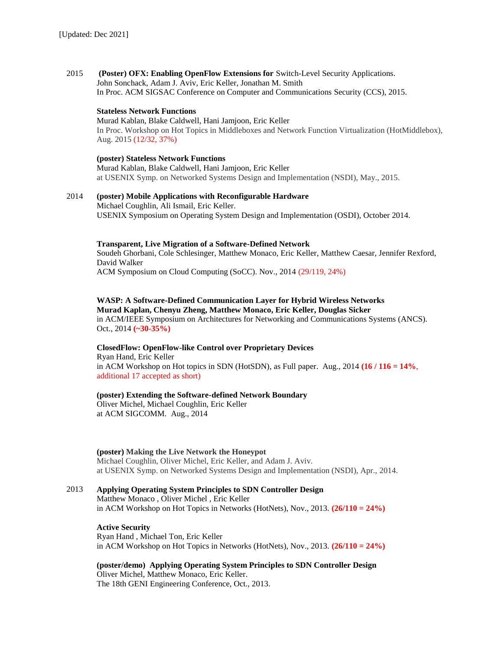2015 **(Poster) OFX: Enabling OpenFlow Extensions for** Switch-Level Security Applications. John Sonchack, Adam J. Aviv, Eric Keller, Jonathan M. Smith In Proc. ACM SIGSAC Conference on Computer and Communications Security (CCS), 2015.

## **Stateless Network Functions**

Murad Kablan, Blake Caldwell, Hani Jamjoon, Eric Keller In Proc. Workshop on Hot Topics in Middleboxes and Network Function Virtualization (HotMiddlebox), Aug. 2015 (12/32, 37%)

#### **(poster) Stateless Network Functions**

Murad Kablan, Blake Caldwell, Hani Jamjoon, Eric Keller at USENIX Symp. on Networked Systems Design and Implementation (NSDI), May., 2015.

2014 **(poster) Mobile Applications with Reconfigurable Hardware** Michael Coughlin, Ali Ismail, Eric Keller. USENIX Symposium on Operating System Design and Implementation (OSDI), October 2014.

## **Transparent, Live Migration of a Software-Defined Network**

Soudeh Ghorbani, Cole Schlesinger, Matthew Monaco, Eric Keller, Matthew Caesar, Jennifer Rexford, David Walker

ACM Symposium on Cloud Computing (SoCC). Nov., 2014 (29/119, 24%)

#### **WASP: A Software-Defined Communication Layer for Hybrid Wireless Networks Murad Kaplan, Chenyu Zheng, Matthew Monaco, Eric Keller, Douglas Sicker**

in ACM/IEEE Symposium on Architectures for Networking and Communications Systems (ANCS). Oct., 2014 **(~30-35%)**

# **ClosedFlow: OpenFlow-like Control over Proprietary Devices**

Ryan Hand, Eric Keller in ACM Workshop on Hot topics in SDN (HotSDN), as Full paper. Aug., 2014 **(16 / 116 = 14%**, additional 17 accepted as short)

## **(poster) Extending the Software-defined Network Boundary**

Oliver Michel, Michael Coughlin, Eric Keller at ACM SIGCOMM. Aug., 2014

## **(poster) Making the Live Network the Honeypot**

Michael Coughlin, Oliver Michel, Eric Keller, and Adam J. Aviv. at USENIX Symp. on Networked Systems Design and Implementation (NSDI), Apr., 2014.

2013 **Applying Operating System Principles to SDN Controller Design** Matthew Monaco , Oliver Michel , Eric Keller in ACM Workshop on Hot Topics in Networks (HotNets), Nov., 2013. **(26/110 = 24%)**

## **Active Security**

Ryan Hand , Michael Ton, Eric Keller in ACM Workshop on Hot Topics in Networks (HotNets), Nov., 2013. **(26/110 = 24%)**

**(poster/demo) Applying Operating System Principles to SDN Controller Design** Oliver Michel, Matthew Monaco, Eric Keller. The 18th GENI Engineering Conference, Oct., 2013.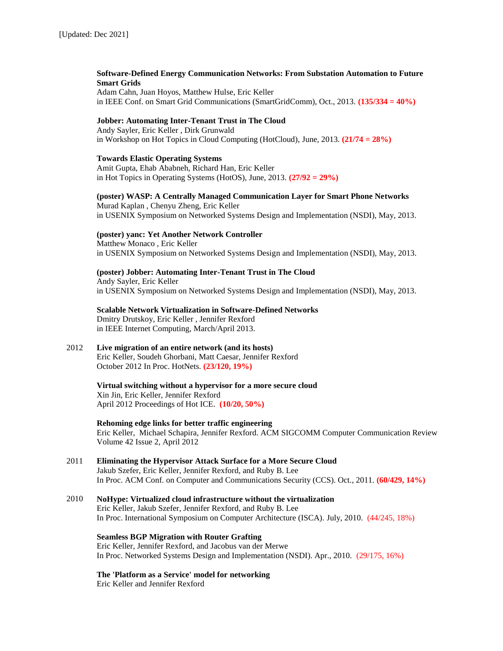# **Software-Defined Energy Communication Networks: From Substation Automation to Future Smart Grids**

Adam Cahn, Juan Hoyos, Matthew Hulse, Eric Keller in IEEE Conf. on Smart Grid Communications (SmartGridComm), Oct., 2013. **(135/334 = 40%)**

# **Jobber: Automating Inter-Tenant Trust in The Cloud**

Andy Sayler, Eric Keller , Dirk Grunwald in Workshop on Hot Topics in Cloud Computing (HotCloud), June, 2013. **(21/74 = 28%)**

## **Towards Elastic Operating Systems**

Amit Gupta, Ehab Ababneh, Richard Han, Eric Keller in Hot Topics in Operating Systems (HotOS), June, 2013. **(27/92 = 29%)**

## **(poster) WASP: A Centrally Managed Communication Layer for Smart Phone Networks**

Murad Kaplan , Chenyu Zheng, Eric Keller in USENIX Symposium on Networked Systems Design and Implementation (NSDI), May, 2013.

# **(poster) yanc: Yet Another Network Controller**

Matthew Monaco , Eric Keller in USENIX Symposium on Networked Systems Design and Implementation (NSDI), May, 2013.

## **(poster) Jobber: Automating Inter-Tenant Trust in The Cloud**

Andy Sayler, Eric Keller in USENIX Symposium on Networked Systems Design and Implementation (NSDI), May, 2013.

**Scalable Network Virtualization in Software-Defined Networks** Dmitry Drutskoy, Eric Keller , Jennifer Rexford in IEEE Internet Computing, March/April 2013.

2012 **Live migration of an entire network (and its hosts)** Eric Keller, Soudeh Ghorbani, Matt Caesar, Jennifer Rexford October 2012 In Proc. HotNets. **(23/120, 19%)**

> **Virtual switching without a hypervisor for a more secure cloud** Xin Jin, Eric Keller, Jennifer Rexford April 2012 Proceedings of Hot ICE. **(10/20, 50%)**

## **Rehoming edge links for better traffic engineering**

Eric Keller, Michael Schapira, Jennifer Rexford. ACM SIGCOMM Computer Communication Review Volume 42 Issue 2, April 2012

#### 2011 **Eliminating the Hypervisor Attack Surface for a More Secure Cloud** Jakub Szefer, Eric Keller, Jennifer Rexford, and Ruby B. Lee In Proc. ACM Conf. on Computer and Communications Security (CCS). Oct., 2011. **(60/429, 14%)**

2010 **NoHype: Virtualized cloud infrastructure without the virtualization** Eric Keller, Jakub Szefer, Jennifer Rexford, and Ruby B. Lee In Proc. International Symposium on Computer Architecture (ISCA). July, 2010. (44/245, 18%)

## **Seamless BGP Migration with Router Grafting** Eric Keller, Jennifer Rexford, and Jacobus van der Merwe In Proc. Networked Systems Design and Implementation (NSDI). Apr., 2010. (29/175, 16%)

# **The 'Platform as a Service' model for networking**

Eric Keller and Jennifer Rexford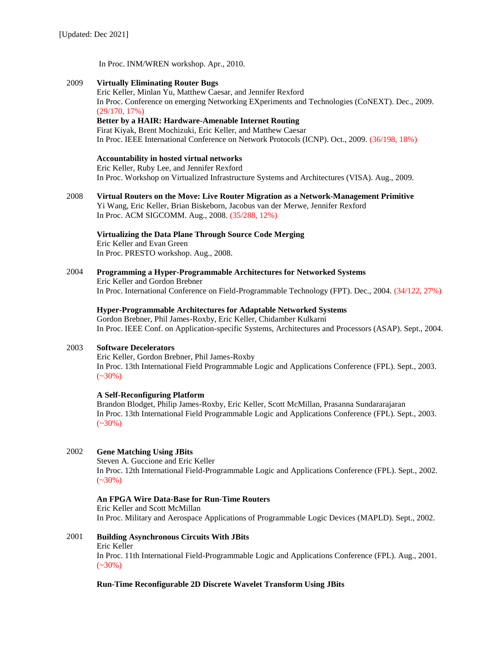In Proc. INM/WREN workshop. Apr., 2010.

- 2009 **Virtually Eliminating Router Bugs** Eric Keller, Minlan Yu, Matthew Caesar, and Jennifer Rexford In Proc. Conference on emerging Networking EXperiments and Technologies (CoNEXT). Dec., 2009. (29/170, 17%) **Better by a HAIR: Hardware-Amenable Internet Routing** Firat Kiyak, Brent Mochizuki, Eric Keller, and Matthew Caesar In Proc. IEEE International Conference on Network Protocols (ICNP). Oct., 2009. (36/198, 18%) **Accountability in hosted virtual networks** Eric Keller, Ruby Lee, and Jennifer Rexford In Proc. Workshop on Virtualized Infrastructure Systems and Architectures (VISA). Aug., 2009.
- 2008 **Virtual Routers on the Move: Live Router Migration as a Network-Management Primitive** Yi Wang, Eric Keller, Brian Biskeborn, Jacobus van der Merwe, Jennifer Rexford In Proc. ACM SIGCOMM. Aug., 2008. (35/288, 12%)

# **Virtualizing the Data Plane Through Source Code Merging** Eric Keller and Evan Green

In Proc. PRESTO workshop. Aug., 2008.

2004 **Programming a Hyper-Programmable Architectures for Networked Systems** Eric Keller and Gordon Brebner In Proc. International Conference on Field-Programmable Technology (FPT). Dec., 2004. (34/122, 27%)

# **Hyper-Programmable Architectures for Adaptable Networked Systems**

Gordon Brebner, Phil James-Roxby, Eric Keller, Chidamber Kulkarni In Proc. IEEE Conf. on Application-specific Systems, Architectures and Processors (ASAP). Sept., 2004.

# 2003 **Software Decelerators**

Eric Keller, Gordon Brebner, Phil James-Roxby In Proc. 13th International Field Programmable Logic and Applications Conference (FPL). Sept., 2003. (~30%)

# **A Self-Reconfiguring Platform**

Brandon Blodget, Philip James-Roxby, Eric Keller, Scott McMillan, Prasanna Sundararajaran In Proc. 13th International Field Programmable Logic and Applications Conference (FPL). Sept., 2003.  $(-30\%)$ 

# 2002 **Gene Matching Using JBits**

Steven A. Guccione and Eric Keller In Proc. 12th International Field-Programmable Logic and Applications Conference (FPL). Sept., 2002. (~30%)

**An FPGA Wire Data-Base for Run-Time Routers** Eric Keller and Scott McMillan In Proc. Military and Aerospace Applications of Programmable Logic Devices (MAPLD). Sept., 2002.

2001 **Building Asynchronous Circuits With JBits** Eric Keller In Proc. 11th International Field-Programmable Logic and Applications Conference (FPL). Aug., 2001. (~30%)

# **Run-Time Reconfigurable 2D Discrete Wavelet Transform Using JBits**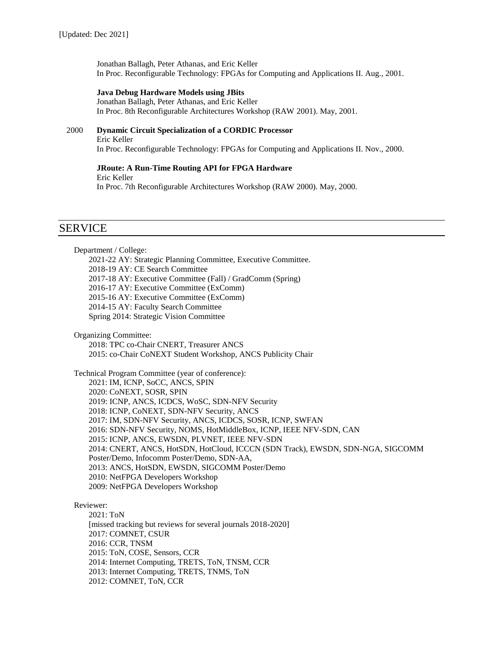Jonathan Ballagh, Peter Athanas, and Eric Keller In Proc. Reconfigurable Technology: FPGAs for Computing and Applications II. Aug., 2001.

#### **Java Debug Hardware Models using JBits**

Jonathan Ballagh, Peter Athanas, and Eric Keller In Proc. 8th Reconfigurable Architectures Workshop (RAW 2001). May, 2001.

## 2000 **Dynamic Circuit Specialization of a CORDIC Processor** Eric Keller In Proc. Reconfigurable Technology: FPGAs for Computing and Applications II. Nov., 2000.

**JRoute: A Run-Time Routing API for FPGA Hardware** Eric Keller In Proc. 7th Reconfigurable Architectures Workshop (RAW 2000). May, 2000.

# SERVICE

Department / College: 2021-22 AY: Strategic Planning Committee, Executive Committee. 2018-19 AY: CE Search Committee 2017-18 AY: Executive Committee (Fall) / GradComm (Spring) 2016-17 AY: Executive Committee (ExComm) 2015-16 AY: Executive Committee (ExComm) 2014-15 AY: Faculty Search Committee Spring 2014: Strategic Vision Committee

Organizing Committee:

2018: TPC co-Chair CNERT, Treasurer ANCS 2015: co-Chair CoNEXT Student Workshop, ANCS Publicity Chair

Technical Program Committee (year of conference):

2021: IM, ICNP, SoCC, ANCS, SPIN

2020: CoNEXT, SOSR, SPIN

2019: ICNP, ANCS, ICDCS, WoSC, SDN-NFV Security

2018: ICNP, CoNEXT, SDN-NFV Security, ANCS 2017: IM, SDN-NFV Security, ANCS, ICDCS, SOSR, ICNP, SWFAN

2016: SDN-NFV Security, NOMS, HotMiddleBox, ICNP, IEEE NFV-SDN, CAN

2015: ICNP, ANCS, EWSDN, PLVNET, IEEE NFV-SDN

2014: CNERT, ANCS, HotSDN, HotCloud, ICCCN (SDN Track), EWSDN, SDN-NGA, SIGCOMM

Poster/Demo, Infocomm Poster/Demo, SDN-AA,

2013: ANCS, HotSDN, EWSDN, SIGCOMM Poster/Demo

2010: NetFPGA Developers Workshop

2009: NetFPGA Developers Workshop

Reviewer:

2021: ToN [missed tracking but reviews for several journals 2018-2020] 2017: COMNET, CSUR 2016: CCR, TNSM 2015: ToN, COSE, Sensors, CCR 2014: Internet Computing, TRETS, ToN, TNSM, CCR 2013: Internet Computing, TRETS, TNMS, ToN 2012: COMNET, ToN, CCR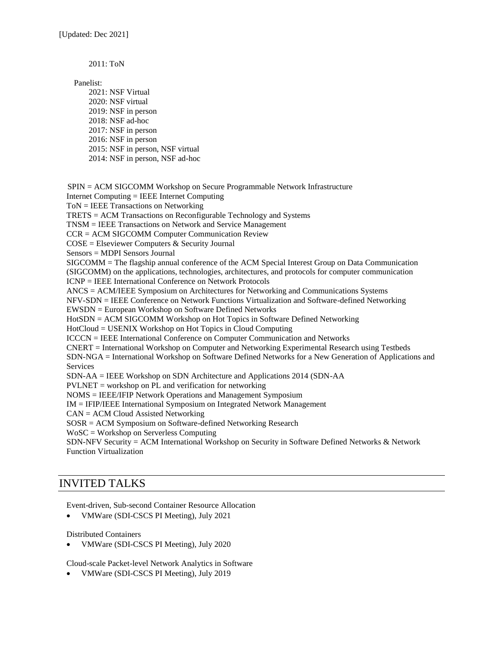2011: ToN

Panelist:

2021: NSF Virtual 2020: NSF virtual 2019: NSF in person 2018: NSF ad-hoc 2017: NSF in person 2016: NSF in person 2015: NSF in person, NSF virtual 2014: NSF in person, NSF ad-hoc

SPIN = ACM SIGCOMM Workshop on Secure Programmable Network Infrastructure

Internet Computing = IEEE Internet Computing

ToN = IEEE Transactions on Networking

TRETS = ACM Transactions on Reconfigurable Technology and Systems

TNSM = IEEE Transactions on Network and Service Management

CCR = ACM SIGCOMM Computer Communication Review

COSE = Elseviewer Computers & Security Journal

Sensors = MDPI Sensors Journal

SIGCOMM = The flagship annual conference of the ACM Special Interest Group on Data Communication

(SIGCOMM) on the applications, technologies, architectures, and protocols for computer communication

ICNP = IEEE International Conference on Network Protocols

ANCS = ACM/IEEE Symposium on Architectures for Networking and Communications Systems

NFV-SDN = IEEE Conference on Network Functions Virtualization and Software-defined Networking

EWSDN = European Workshop on Software Defined Networks

HotSDN = ACM SIGCOMM Workshop on Hot Topics in Software Defined Networking

HotCloud = USENIX Workshop on Hot Topics in Cloud Computing

ICCCN = IEEE International Conference on Computer Communication and Networks

CNERT = International Workshop on Computer and Networking Experimental Research using Testbeds

SDN-NGA = International Workshop on Software Defined Networks for a New Generation of Applications and Services

SDN-AA = IEEE Workshop on SDN Architecture and Applications 2014 (SDN-AA

PVLNET = workshop on PL and verification for networking

NOMS = IEEE/IFIP Network Operations and Management Symposium

IM = IFIP/IEEE International Symposium on Integrated Network Management

CAN = ACM Cloud Assisted Networking

SOSR = ACM Symposium on Software-defined Networking Research

WoSC = Workshop on Serverless Computing

SDN-NFV Security = ACM International Workshop on Security in Software Defined Networks & Network Function Virtualization

# INVITED TALKS

Event-driven, Sub-second Container Resource Allocation

VMWare (SDI-CSCS PI Meeting), July 2021

Distributed Containers

VMWare (SDI-CSCS PI Meeting), July 2020

Cloud-scale Packet-level Network Analytics in Software

VMWare (SDI-CSCS PI Meeting), July 2019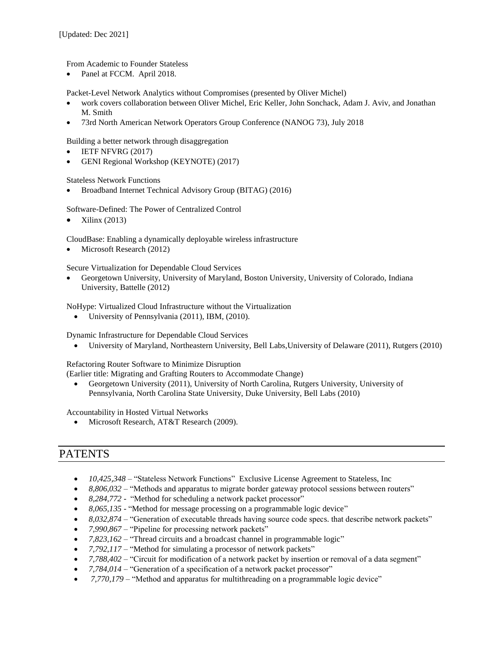From Academic to Founder Stateless

• Panel at FCCM. April 2018.

Packet-Level Network Analytics without Compromises (presented by Oliver Michel)

- work covers collaboration between Oliver Michel, Eric Keller, John Sonchack, Adam J. Aviv, and Jonathan M. Smith
- 73rd North American Network Operators Group Conference (NANOG 73), July 2018

Building a better network through disaggregation

- IETF NFVRG (2017)
- GENI Regional Workshop (KEYNOTE) (2017)

Stateless Network Functions

Broadband Internet Technical Advisory Group (BITAG) (2016)

Software-Defined: The Power of Centralized Control

 $\bullet$  Xilinx (2013)

CloudBase: Enabling a dynamically deployable wireless infrastructure

Microsoft Research (2012)

Secure Virtualization for Dependable Cloud Services

 Georgetown University, University of Maryland, Boston University, University of Colorado, Indiana University, Battelle (2012)

NoHype: Virtualized Cloud Infrastructure without the Virtualization

University of Pennsylvania (2011), IBM, (2010).

Dynamic Infrastructure for Dependable Cloud Services

University of Maryland, Northeastern University, Bell Labs,University of Delaware (2011), Rutgers (2010)

Refactoring Router Software to Minimize Disruption

(Earlier title: Migrating and Grafting Routers to Accommodate Change)

 Georgetown University (2011), University of North Carolina, Rutgers University, University of Pennsylvania, North Carolina State University, Duke University, Bell Labs (2010)

Accountability in Hosted Virtual Networks

Microsoft Research, AT&T Research (2009).

# PATENTS

- *10,425,348* "Stateless Network Functions" Exclusive License Agreement to Stateless, Inc
- 8,806,032 "Methods and apparatus to migrate border gateway protocol sessions between routers"
- *8,284,772* "Method for scheduling a network packet processor"
- *8,065,135* "Method for message processing on a programmable logic device"
- *8,032,874* "Generation of executable threads having source code specs. that describe network packets"
- *7,990,867*  "Pipeline for processing network packets"
- *7,823,162* "Thread circuits and a broadcast channel in programmable logic"
- *7,792,117* "Method for simulating a processor of network packets"
- *7,788,402* "Circuit for modification of a network packet by insertion or removal of a data segment"
- *7,784,014* "Generation of a specification of a network packet processor"
- *7,770,179* "Method and apparatus for multithreading on a programmable logic device"